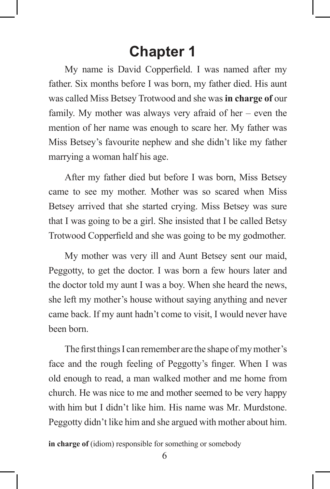# **Chapter 1**

My name is David Copperfield. I was named after my father. Six months before I was born, my father died. His aunt was called Miss Betsey Trotwood and she was **in charge of** our family. My mother was always very afraid of her – even the mention of her name was enough to scare her. My father was Miss Betsey's favourite nephew and she didn't like my father marrying a woman half his age.

 After my father died but before I was born, Miss Betsey came to see my mother. Mother was so scared when Miss Betsey arrived that she started crying. Miss Betsey was sure that I was going to be a girl. She insisted that I be called Betsy Trotwood Copperfield and she was going to be my godmother.

 My mother was very ill and Aunt Betsey sent our maid, Peggotty, to get the doctor. I was born a few hours later and the doctor told my aunt I was a boy. When she heard the news, she left my mother's house without saying anything and never came back. If my aunt hadn't come to visit, I would never have been born.

The first things I can remember are the shape of my mother's face and the rough feeling of Peggotty's finger. When I was old enough to read, a man walked mother and me home from church. He was nice to me and mother seemed to be very happy with him but I didn't like him. His name was Mr. Murdstone. Peggotty didn't like him and she argued with mother about him.

**in charge of** (idiom) responsible for something or somebody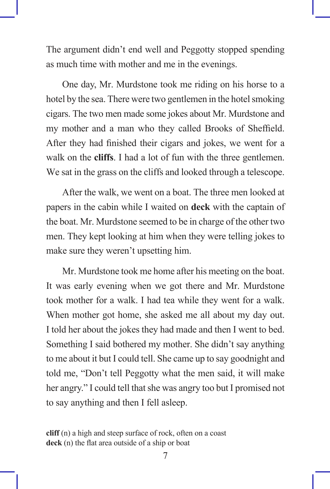The argument didn't end well and Peggotty stopped spending as much time with mother and me in the evenings.

 One day, Mr. Murdstone took me riding on his horse to a hotel by the sea. There were two gentlemen in the hotel smoking cigars. The two men made some jokes about Mr. Murdstone and my mother and a man who they called Brooks of Sheffield. After they had finished their cigars and jokes, we went for a walk on the **cliffs**. I had a lot of fun with the three gentlemen. We sat in the grass on the cliffs and looked through a telescope.

 After the walk, we went on a boat. The three men looked at papers in the cabin while I waited on **deck** with the captain of the boat. Mr. Murdstone seemed to be in charge of the other two men. They kept looking at him when they were telling jokes to make sure they weren't upsetting him.

 Mr. Murdstone took me home after his meeting on the boat. It was early evening when we got there and Mr. Murdstone took mother for a walk. I had tea while they went for a walk. When mother got home, she asked me all about my day out. I told her about the jokes they had made and then I went to bed. Something I said bothered my mother. She didn't say anything to me about it but I could tell. She came up to say goodnight and told me, "Don't tell Peggotty what the men said, it will make her angry." I could tell that she was angry too but I promised not to say anything and then I fell asleep.

**cliff** (n) a high and steep surface of rock, often on a coast **deck** (n) the flat area outside of a ship or boat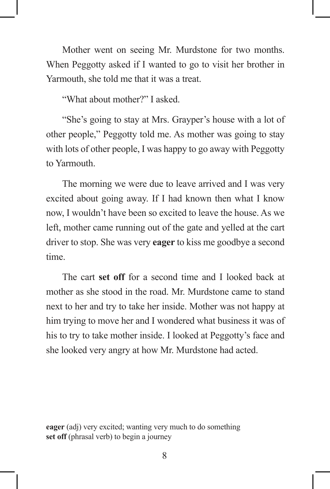Mother went on seeing Mr. Murdstone for two months. When Peggotty asked if I wanted to go to visit her brother in Yarmouth, she told me that it was a treat.

"What about mother?" I asked.

 "She's going to stay at Mrs. Grayper's house with a lot of other people," Peggotty told me. As mother was going to stay with lots of other people, I was happy to go away with Peggotty to Yarmouth.

 The morning we were due to leave arrived and I was very excited about going away. If I had known then what I know now, I wouldn't have been so excited to leave the house. As we left, mother came running out of the gate and yelled at the cart driver to stop. She was very **eager** to kiss me goodbye a second time.

 The cart **set off** for a second time and I looked back at mother as she stood in the road. Mr. Murdstone came to stand next to her and try to take her inside. Mother was not happy at him trying to move her and I wondered what business it was of his to try to take mother inside. I looked at Peggotty's face and she looked very angry at how Mr. Murdstone had acted.

**eager** (adj) very excited; wanting very much to do something **set off** (phrasal verb) to begin a journey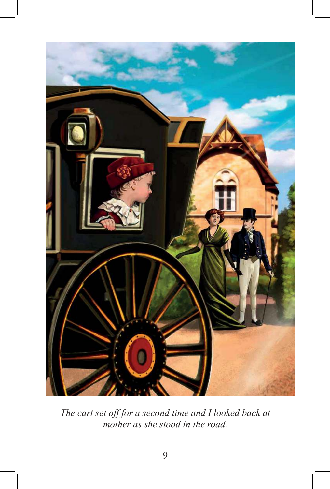

*The cart set off for a second time and I looked back at mother as she stood in the road.*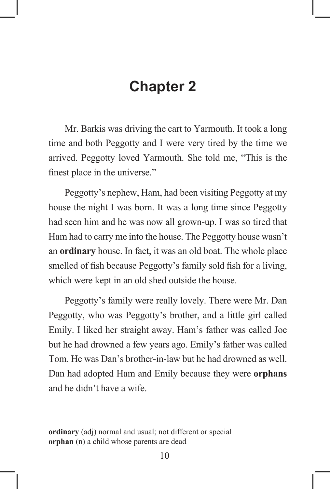## **Chapter 2**

 Mr. Barkis was driving the cart to Yarmouth. It took a long time and both Peggotty and I were very tired by the time we arrived. Peggotty loved Yarmouth. She told me, "This is the finest place in the universe."

 Peggotty's nephew, Ham, had been visiting Peggotty at my house the night I was born. It was a long time since Peggotty had seen him and he was now all grown-up. I was so tired that Ham had to carry me into the house. The Peggotty house wasn't an **ordinary** house. In fact, it was an old boat. The whole place smelled of fish because Peggotty's family sold fish for a living, which were kept in an old shed outside the house.

 Peggotty's family were really lovely. There were Mr. Dan Peggotty, who was Peggotty's brother, and a little girl called Emily. I liked her straight away. Ham's father was called Joe but he had drowned a few years ago. Emily's father was called Tom. He was Dan's brother-in-law but he had drowned as well. Dan had adopted Ham and Emily because they were **orphans** and he didn't have a wife.

**ordinary** (adj) normal and usual; not different or special **orphan** (n) a child whose parents are dead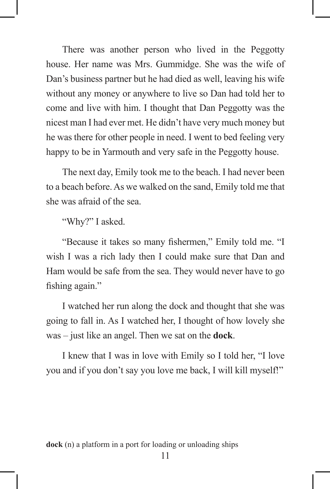There was another person who lived in the Peggotty house. Her name was Mrs. Gummidge. She was the wife of Dan's business partner but he had died as well, leaving his wife without any money or anywhere to live so Dan had told her to come and live with him. I thought that Dan Peggotty was the nicest man I had ever met. He didn't have very much money but he was there for other people in need. I went to bed feeling very happy to be in Yarmouth and very safe in the Peggotty house.

 The next day, Emily took me to the beach. I had never been to a beach before. As we walked on the sand, Emily told me that she was afraid of the sea.

"Why?" I asked.

"Because it takes so many fishermen," Emily told me. "I wish I was a rich lady then I could make sure that Dan and Ham would be safe from the sea. They would never have to go fishing again."

 I watched her run along the dock and thought that she was going to fall in. As I watched her, I thought of how lovely she was – just like an angel. Then we sat on the **dock**.

 I knew that I was in love with Emily so I told her, "I love you and if you don't say you love me back, I will kill myself!"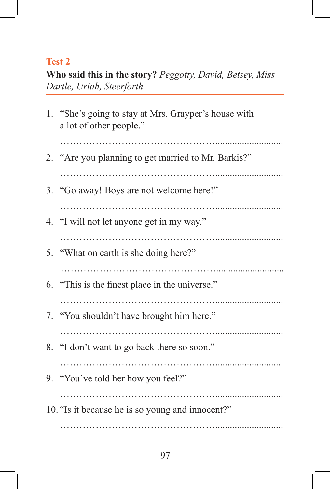### **Test 2**

**Who said this in the story?** *Peggotty, David, Betsey, Miss Dartle, Uriah, Steerforth*

| 1. "She's going to stay at Mrs. Grayper's house with<br>a lot of other people." |
|---------------------------------------------------------------------------------|
| 2. "Are you planning to get married to Mr. Barkis?"                             |
| 3. "Go away! Boys are not welcome here!"                                        |
| 4. "I will not let anyone get in my way."                                       |
| 5. "What on earth is she doing here?"                                           |
| 6. "This is the finest place in the universe."                                  |
| 7. "You shouldn't have brought him here."                                       |
| 8. "I don't want to go back there so soon."                                     |
| 9. "You've told her how you feel?"                                              |
| 10. "Is it because he is so young and innocent?"                                |
|                                                                                 |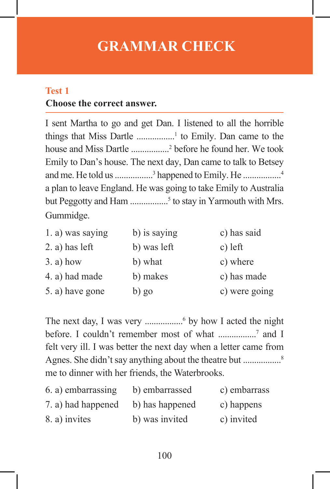## **GRAMMAR CHECK**

#### **Test 1**

#### **Choose the correct answer.**

I sent Martha to go and get Dan. I listened to all the horrible things that Miss Dartle .................<sup>1</sup> to Emily. Dan came to the house and Miss Dartle .................<sup>2</sup> before he found her. We took Emily to Dan's house. The next day, Dan came to talk to Betsey and me. He told us .................<sup>3</sup> happened to Emily. He .................<sup>4</sup> a plan to leave England. He was going to take Emily to Australia but Peggotty and Ham .................<sup>5</sup> to stay in Yarmouth with Mrs. Gummidge.

| 1. a) was saying  | b) is saying | c) has said   |
|-------------------|--------------|---------------|
| $2$ . a) has left | b) was left  | c) left       |
| $3. a)$ how       | b) what      | c) where      |
| 4. a) had made    | b) makes     | c) has made   |
| 5. a) have gone   | $b)$ go      | c) were going |

The next day, I was very ...................<sup>6</sup> by how I acted the night before. I couldn't remember most of what .................<sup>7</sup> and I felt very ill. I was better the next day when a letter came from Agnes. She didn't say anything about the theatre but .....................<sup>8</sup> me to dinner with her friends, the Waterbrooks.

| 6. a) embarrassing | b) embarrassed  | c) embarrass |
|--------------------|-----------------|--------------|
| 7. a) had happened | b) has happened | c) happens   |
| 8. a) invites      | b) was invited  | c) invited   |